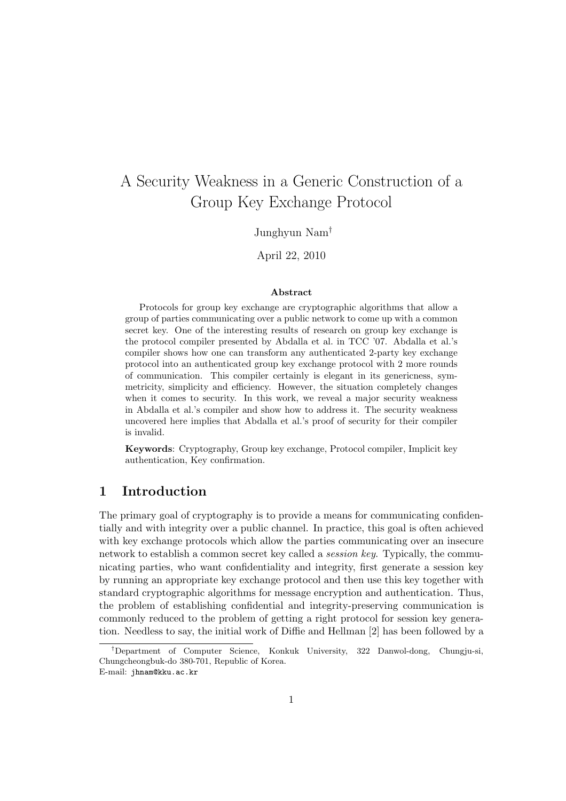# A Security Weakness in a Generic Construction of a Group Key Exchange Protocol

#### Junghyun Nam†

#### April 22, 2010

#### Abstract

Protocols for group key exchange are cryptographic algorithms that allow a group of parties communicating over a public network to come up with a common secret key. One of the interesting results of research on group key exchange is the protocol compiler presented by Abdalla et al. in TCC '07. Abdalla et al.'s compiler shows how one can transform any authenticated 2-party key exchange protocol into an authenticated group key exchange protocol with 2 more rounds of communication. This compiler certainly is elegant in its genericness, symmetricity, simplicity and efficiency. However, the situation completely changes when it comes to security. In this work, we reveal a major security weakness in Abdalla et al.'s compiler and show how to address it. The security weakness uncovered here implies that Abdalla et al.'s proof of security for their compiler is invalid.

Keywords: Cryptography, Group key exchange, Protocol compiler, Implicit key authentication, Key confirmation.

## 1 Introduction

The primary goal of cryptography is to provide a means for communicating confidentially and with integrity over a public channel. In practice, this goal is often achieved with key exchange protocols which allow the parties communicating over an insecure network to establish a common secret key called a session key. Typically, the communicating parties, who want confidentiality and integrity, first generate a session key by running an appropriate key exchange protocol and then use this key together with standard cryptographic algorithms for message encryption and authentication. Thus, the problem of establishing confidential and integrity-preserving communication is commonly reduced to the problem of getting a right protocol for session key generation. Needless to say, the initial work of Diffie and Hellman [2] has been followed by a

<sup>†</sup>Department of Computer Science, Konkuk University, 322 Danwol-dong, Chungju-si, Chungcheongbuk-do 380-701, Republic of Korea.

E-mail: jhnam@kku.ac.kr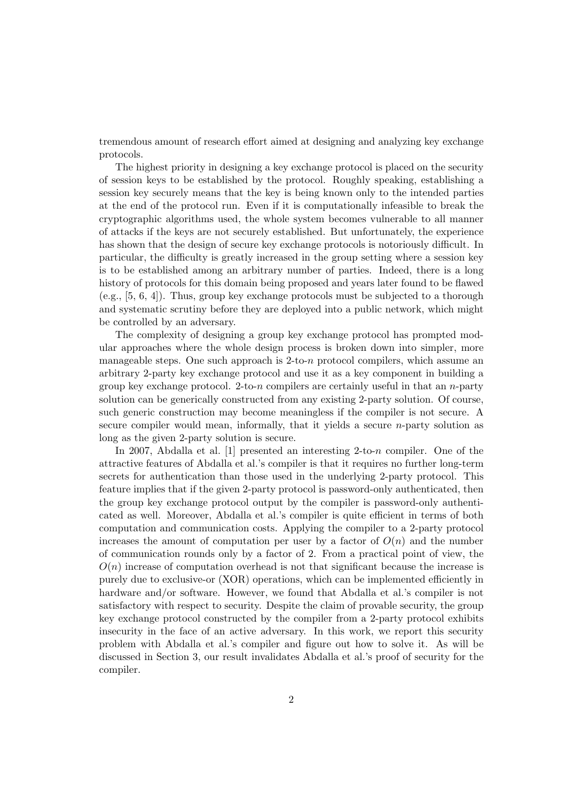tremendous amount of research effort aimed at designing and analyzing key exchange protocols.

The highest priority in designing a key exchange protocol is placed on the security of session keys to be established by the protocol. Roughly speaking, establishing a session key securely means that the key is being known only to the intended parties at the end of the protocol run. Even if it is computationally infeasible to break the cryptographic algorithms used, the whole system becomes vulnerable to all manner of attacks if the keys are not securely established. But unfortunately, the experience has shown that the design of secure key exchange protocols is notoriously difficult. In particular, the difficulty is greatly increased in the group setting where a session key is to be established among an arbitrary number of parties. Indeed, there is a long history of protocols for this domain being proposed and years later found to be flawed (e.g., [5, 6, 4]). Thus, group key exchange protocols must be subjected to a thorough and systematic scrutiny before they are deployed into a public network, which might be controlled by an adversary.

The complexity of designing a group key exchange protocol has prompted modular approaches where the whole design process is broken down into simpler, more manageable steps. One such approach is  $2$ -to-n protocol compilers, which assume an arbitrary 2-party key exchange protocol and use it as a key component in building a group key exchange protocol. 2-to-n compilers are certainly useful in that an  $n$ -party solution can be generically constructed from any existing 2-party solution. Of course, such generic construction may become meaningless if the compiler is not secure. A secure compiler would mean, informally, that it yields a secure *n*-party solution as long as the given 2-party solution is secure.

In 2007, Abdalla et al. [1] presented an interesting 2-to-n compiler. One of the attractive features of Abdalla et al.'s compiler is that it requires no further long-term secrets for authentication than those used in the underlying 2-party protocol. This feature implies that if the given 2-party protocol is password-only authenticated, then the group key exchange protocol output by the compiler is password-only authenticated as well. Moreover, Abdalla et al.'s compiler is quite efficient in terms of both computation and communication costs. Applying the compiler to a 2-party protocol increases the amount of computation per user by a factor of  $O(n)$  and the number of communication rounds only by a factor of 2. From a practical point of view, the  $O(n)$  increase of computation overhead is not that significant because the increase is purely due to exclusive-or (XOR) operations, which can be implemented efficiently in hardware and/or software. However, we found that Abdalla et al.'s compiler is not satisfactory with respect to security. Despite the claim of provable security, the group key exchange protocol constructed by the compiler from a 2-party protocol exhibits insecurity in the face of an active adversary. In this work, we report this security problem with Abdalla et al.'s compiler and figure out how to solve it. As will be discussed in Section 3, our result invalidates Abdalla et al.'s proof of security for the compiler.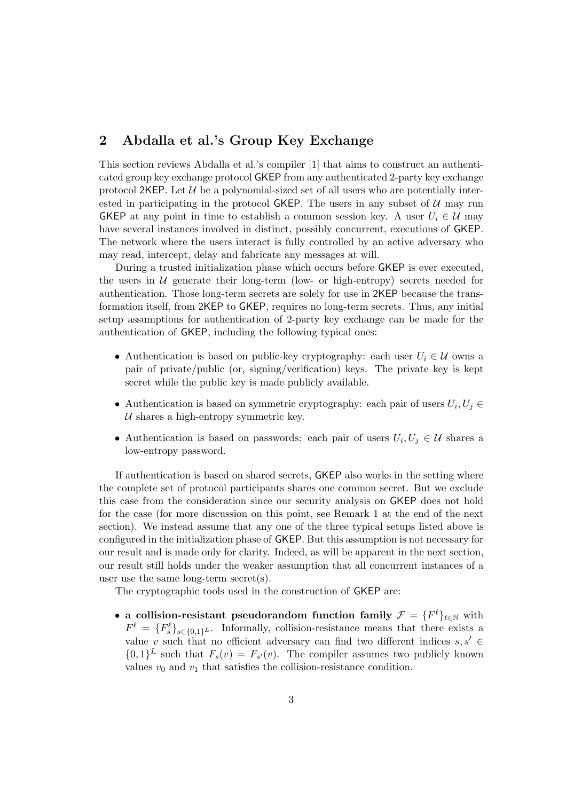# 2 Abdalla et al.'s Group Key Exchange

This section reviews Abdalla et al.'s compiler [1] that aims to construct an authenticated group key exchange protocol GKEP from any authenticated 2-party key exchange protocol 2KEP. Let  $\mathcal U$  be a polynomial-sized set of all users who are potentially interested in participating in the protocol GKEP. The users in any subset of  $U$  may run GKEP at any point in time to establish a common session key. A user  $U_i \in \mathcal{U}$  may have several instances involved in distinct, possibly concurrent, executions of GKEP. The network where the users interact is fully controlled by an active adversary who may read, intercept, delay and fabricate any messages at will.

During a trusted initialization phase which occurs before GKEP is ever executed, the users in  $U$  generate their long-term (low- or high-entropy) secrets needed for authentication. Those long-term secrets are solely for use in 2KEP because the transformation itself, from 2KEP to GKEP, requires no long-term secrets. Thus, any initial setup assumptions for authentication of 2-party key exchange can be made for the authentication of GKEP, including the following typical ones:

- Authentication is based on public-key cryptography: each user  $U_i \in \mathcal{U}$  owns a pair of private/public (or, signing/verification) keys. The private key is kept secret while the public key is made publicly available.
- Authentication is based on symmetric cryptography: each pair of users  $U_i, U_j \in$  $U$  shares a high-entropy symmetric key.
- Authentication is based on passwords: each pair of users  $U_i, U_j \in \mathcal{U}$  shares a low-entropy password.

If authentication is based on shared secrets, GKEP also works in the setting where the complete set of protocol participants shares one common secret. But we exclude this case from the consideration since our security analysis on GKEP does not hold for the case (for more discussion on this point, see Remark 1 at the end of the next section). We instead assume that any one of the three typical setups listed above is configured in the initialization phase of GKEP. But this assumption is not necessary for our result and is made only for clarity. Indeed, as will be apparent in the next section, our result still holds under the weaker assumption that all concurrent instances of a user use the same long-term secret(s).

The cryptographic tools used in the construction of GKEP are:

• a collision-resistant pseudorandom function family  $\mathcal{F} = \{F^{\ell}\}_{\ell \in \mathbb{N}}$  with  $F^{\ell} = \{F^{\ell}_s\}_{s \in \{0,1\}^L}$ . Informally, collision-resistance means that there exists a value v such that no efficient adversary can find two different indices  $s, s' \in$  $\{0,1\}^L$  such that  $F_s(v) = F_{s'}(v)$ . The compiler assumes two publicly known values  $v_0$  and  $v_1$  that satisfies the collision-resistance condition.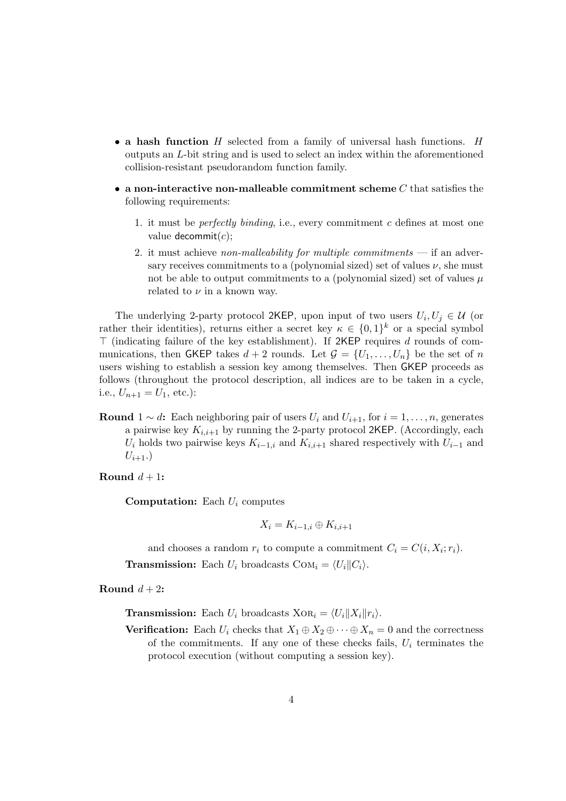- a hash function  $H$  selected from a family of universal hash functions.  $H$ outputs an L-bit string and is used to select an index within the aforementioned collision-resistant pseudorandom function family.
- a non-interactive non-malleable commitment scheme  $C$  that satisfies the following requirements:
	- 1. it must be *perfectly binding*, i.e., every commitment c defines at most one value decommit $(c)$ ;
	- 2. it must achieve non-malleability for multiple commitments if an adversary receives commitments to a (polynomial sized) set of values  $\nu$ , she must not be able to output commitments to a (polynomial sized) set of values  $\mu$ related to  $\nu$  in a known way.

The underlying 2-party protocol 2KEP, upon input of two users  $U_i, U_j \in \mathcal{U}$  (or rather their identities), returns either a secret key  $\kappa \in \{0,1\}^k$  or a special symbol  $\top$  (indicating failure of the key establishment). If 2KEP requires d rounds of communications, then GKEP takes  $d + 2$  rounds. Let  $\mathcal{G} = \{U_1, \ldots, U_n\}$  be the set of n users wishing to establish a session key among themselves. Then GKEP proceeds as follows (throughout the protocol description, all indices are to be taken in a cycle, i.e.,  $U_{n+1} = U_1$ , etc.):

- Round  $1 \sim d$ : Each neighboring pair of users  $U_i$  and  $U_{i+1}$ , for  $i = 1, \ldots, n$ , generates a pairwise key  $K_{i,i+1}$  by running the 2-party protocol 2KEP. (Accordingly, each  $U_i$  holds two pairwise keys  $K_{i-1,i}$  and  $K_{i,i+1}$  shared respectively with  $U_{i-1}$  and  $U_{i+1}$ .
- Round  $d+1$ :

**Computation:** Each  $U_i$  computes

$$
X_i = K_{i-1,i} \oplus K_{i,i+1}
$$

and chooses a random  $r_i$  to compute a commitment  $C_i = C(i, X_i; r_i)$ .

**Transmission:** Each  $U_i$  broadcasts  $COM_i = \langle U_i || C_i \rangle$ .

Round  $d+2$ :

**Transmission:** Each  $U_i$  broadcasts  $XOR_i = \langle U_i || X_i || r_i \rangle$ .

**Verification:** Each  $U_i$  checks that  $X_1 \oplus X_2 \oplus \cdots \oplus X_n = 0$  and the correctness of the commitments. If any one of these checks fails,  $U_i$  terminates the protocol execution (without computing a session key).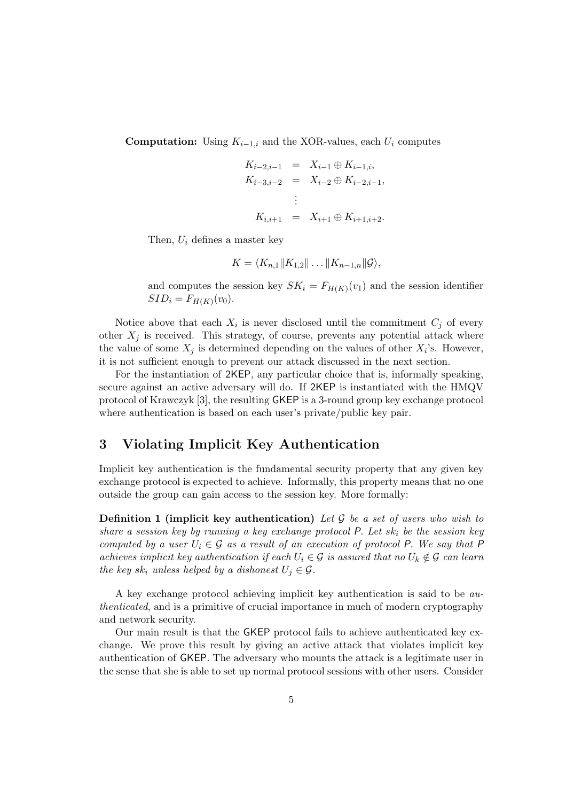**Computation:** Using  $K_{i-1,i}$  and the XOR-values, each  $U_i$  computes

$$
K_{i-2,i-1} = X_{i-1} \oplus K_{i-1,i},
$$
  
\n
$$
K_{i-3,i-2} = X_{i-2} \oplus K_{i-2,i-1},
$$
  
\n
$$
\vdots
$$
  
\n
$$
K_{i,i+1} = X_{i+1} \oplus K_{i+1,i+2}.
$$

Then,  $U_i$  defines a master key

$$
K = \langle K_{n,1} || K_{1,2} || \ldots || K_{n-1,n} || \mathcal{G} \rangle,
$$

and computes the session key  $SK_i = F_{H(K)}(v_1)$  and the session identifier  $SID_i = F_{H(K)}(v_0).$ 

Notice above that each  $X_i$  is never disclosed until the commitment  $C_j$  of every other  $X_j$  is received. This strategy, of course, prevents any potential attack where the value of some  $X_j$  is determined depending on the values of other  $X_i$ 's. However, it is not sufficient enough to prevent our attack discussed in the next section.

For the instantiation of 2KEP, any particular choice that is, informally speaking, secure against an active adversary will do. If 2KEP is instantiated with the HMQV protocol of Krawczyk [3], the resulting GKEP is a 3-round group key exchange protocol where authentication is based on each user's private/public key pair.

## 3 Violating Implicit Key Authentication

Implicit key authentication is the fundamental security property that any given key exchange protocol is expected to achieve. Informally, this property means that no one outside the group can gain access to the session key. More formally:

**Definition 1 (implicit key authentication)** Let G be a set of users who wish to share a session key by running a key exchange protocol  $P$ . Let sk<sub>i</sub> be the session key computed by a user  $U_i \in \mathcal{G}$  as a result of an execution of protocol P. We say that P achieves implicit key authentication if each  $U_i \in \mathcal{G}$  is assured that no  $U_k \notin \mathcal{G}$  can learn the key sk<sub>i</sub> unless helped by a dishonest  $U_j \in \mathcal{G}$ .

A key exchange protocol achieving implicit key authentication is said to be authenticated, and is a primitive of crucial importance in much of modern cryptography and network security.

Our main result is that the GKEP protocol fails to achieve authenticated key exchange. We prove this result by giving an active attack that violates implicit key authentication of GKEP. The adversary who mounts the attack is a legitimate user in the sense that she is able to set up normal protocol sessions with other users. Consider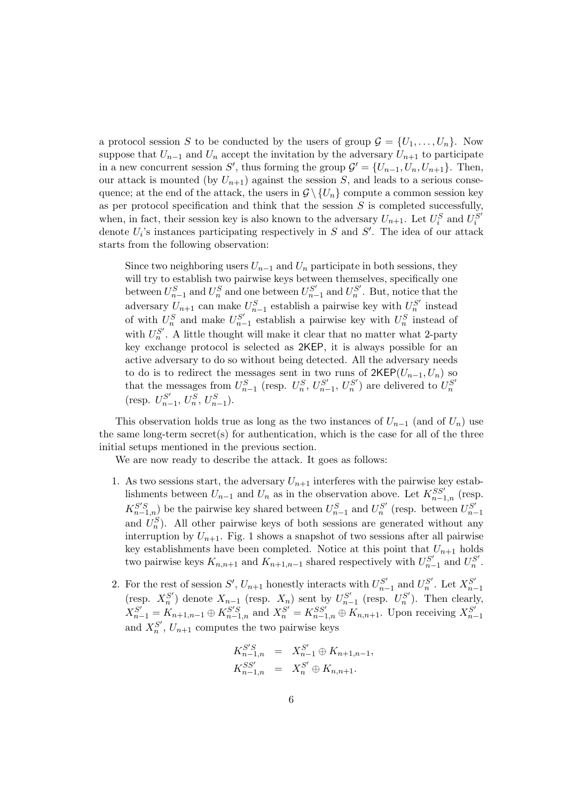a protocol session S to be conducted by the users of group  $\mathcal{G} = \{U_1, \ldots, U_n\}$ . Now suppose that  $U_{n-1}$  and  $U_n$  accept the invitation by the adversary  $U_{n+1}$  to participate in a new concurrent session S', thus forming the group  $\mathcal{G}' = \{U_{n-1}, U_n, U_{n+1}\}.$  Then, our attack is mounted (by  $U_{n+1}$ ) against the session S, and leads to a serious consequence; at the end of the attack, the users in  $\mathcal{G} \setminus \{U_n\}$  compute a common session key as per protocol specification and think that the session  $S$  is completed successfully, when, in fact, their session key is also known to the adversary  $U_{n+1}$ . Let  $U_i^S$  and  $U_i^{\overline{S}'}$ i denote  $U_i$ 's instances participating respectively in S and S'. The idea of our attack starts from the following observation:

Since two neighboring users  $U_{n-1}$  and  $U_n$  participate in both sessions, they will try to establish two pairwise keys between themselves, specifically one between  $U_{n-1}^S$  and  $U_n^S$  and one between  $U_{n-1}^{S'}$  $S'_{n-1}$  and  $U_n^{S'}$ . But, notice that the adversary  $U_{n+1}$  can make  $U_{n-1}^S$  establish a pairwise key with  $U_n^{S'}$  instead of with  $U_n^S$  and make  $U_{n-}^{S'}$  $S'_{n-1}$  establish a pairwise key with  $U_n^S$  instead of with  $U_n^{S'}$ . A little thought will make it clear that no matter what 2-party key exchange protocol is selected as 2KEP, it is always possible for an active adversary to do so without being detected. All the adversary needs to do is to redirect the messages sent in two runs of  $2KEP(U_{n-1}, U_n)$  so that the messages from  $U_{n-1}^S$  (resp.  $U_n^S$ ,  $U_{n-1}^{S'}$  $U_{n-1}^{S'}$ ,  $U_{n}^{S'}$ ) are delivered to  $U_{n}^{S'}$ (resp.  $U_{n-}^{S'}$  $U_n^S$ ,  $U_{n-1}^S$ ).

This observation holds true as long as the two instances of  $U_{n-1}$  (and of  $U_n$ ) use the same long-term secret(s) for authentication, which is the case for all of the three initial setups mentioned in the previous section.

We are now ready to describe the attack. It goes as follows:

- 1. As two sessions start, the adversary  $U_{n+1}$  interferes with the pairwise key establishments between  $U_{n-1}$  and  $U_n$  as in the observation above. Let  $K_{n-1,n}^{SS'}$  (resp.  $K_{n-1,n}^{S'S}$ ) be the pairwise key shared between  $U_{n-1}^S$  and  $U_n^{S'}$  (resp. between  $U_{n-1}^{S'}$  $n-1$ and  $U_n^S$ ). All other pairwise keys of both sessions are generated without any interruption by  $U_{n+1}$ . Fig. 1 shows a snapshot of two sessions after all pairwise key establishments have been completed. Notice at this point that  $U_{n+1}$  holds two pairwise keys  $K_{n,n+1}$  and  $K_{n+1,n-1}$  shared respectively with  $U_{n-1}^{S'}$  $S'_{n-1}$  and  $U_n^{S'}$ .
- 2. For the rest of session  $S'$ ,  $U_{n+1}$  honestly interacts with  $U_{n-1}^{S'}$  $S'_{n-1}$  and  $U_n^{S'}$ . Let  $X_{n-1}^{S'}$  $n-1$ (resp.  $X_n^{S'}$ ) denote  $X_{n-1}$  (resp.  $X_n$ ) sent by  $U_{n-1}^{S'}$  $\sum_{n=1}^{S'}$  (resp.  $U_n^{S'}$ ). Then clearly,  $X_{n-1}^{S'} = K_{n+1,n-1} \oplus K_{n-1,n}^{S'S}$  and  $X_n^{S'} = K_{n-1,n}^{SS'} \oplus K_{n,n+1}$ . Upon receiving  $X_{n-1}^{S'}$  $n-1$ and  $X_n^{S'}$ ,  $U_{n+1}$  computes the two pairwise keys

$$
K_{n-1,n}^{S'S} = X_{n-1}^{S'} \oplus K_{n+1,n-1},
$$
  
\n
$$
K_{n-1,n}^{SS'} = X_n^{S'} \oplus K_{n,n+1}.
$$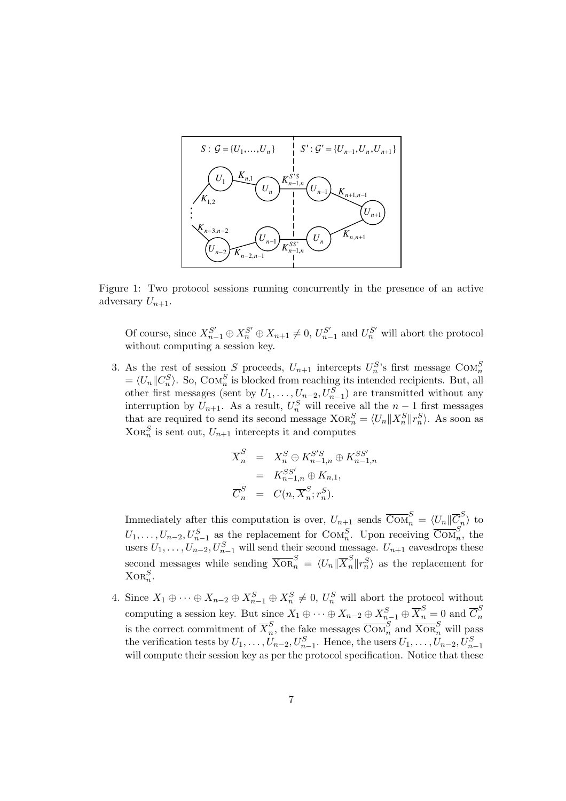

Figure 1: Two protocol sessions running concurrently in the presence of an active adversary  $U_{n+1}$ .

Of course, since  $X_{n-1}^{S'} \oplus X_n^{S'} \oplus X_{n+1} \neq 0$ ,  $U_{n-1}^{S'}$  $\sum_{n=1}^{S'}$  and  $U_n^{S'}$  will abort the protocol without computing a session key.

3. As the rest of session S proceeds,  $U_{n+1}$  intercepts  $U_n^S$ 's first message  $COM_n^S$  $= \langle U_n || C_n^S \rangle$ . So, Com<sub>n</sub><sup>S</sup> is blocked from reaching its intended recipients. But, all other first messages (sent by  $U_1, \ldots, U_{n-2}, U_{n-1}^S$ ) are transmitted without any interruption by  $U_{n+1}$ . As a result,  $U_n^S$  will receive all the  $n-1$  first messages that are required to send its second message  $XOR_n^S = \langle U_n || X_n^S || r_n^S \rangle$ . As soon as  $XOR_n<sup>S</sup>$  is sent out,  $U_{n+1}$  intercepts it and computes

$$
\overline{X}_n^S = X_n^S \oplus K_{n-1,n}^{S'S} \oplus K_{n-1,n}^{SS'}
$$
  
=  $K_{n-1,n}^{SS'} \oplus K_{n,1},$   

$$
\overline{C}_n^S = C(n, \overline{X}_n^S; r_n^S).
$$

Immediately after this computation is over,  $U_{n+1}$  sends  $\overline{\text{Com}}_n^S = \langle U_n | \overline{C}_n^S \rangle$  $\binom{5}{n}$  to  $U_1, \ldots, U_{n-2}, U_{n-1}^S$  as the replacement for  $\text{Com}_n^S$ . Upon receiving  $\overline{\text{Com}}_n^S$ , the users  $U_1, \ldots, U_{n-2}, U_{n-1}^S$  will send their second message.  $U_{n+1}$  eavesdrops these second messages while sending  $\overline{X} \overline{\Omega} \overline{R}_n^S = \langle U_n | \overline{X}_n^S | r_n^S \rangle$  as the replacement for  $XOR_n^S$ .

4. Since  $X_1 \oplus \cdots \oplus X_{n-2} \oplus X_{n-1}^S \oplus X_n^S \neq 0$ ,  $U_n^S$  will abort the protocol without computing a session key. But since  $X_1 \oplus \cdots \oplus X_{n-2} \oplus X_{n-1}^S \oplus \overline{X}_n^S = 0$  and  $\overline{C}_n^S$ n is the correct commitment of  $\overline{X}_n^S$  $_{n}^{S}$ , the fake messages  $\overline{\mathrm{Com}}_{n}^{S}$  and  $\overline{\mathrm{Xor}}_{n}^{S}$  will pass the verification tests by  $U_1, \ldots, U_{n-2}, U_{n-1}^S$ . Hence, the users  $U_1, \ldots, U_{n-2}, U_{n-1}^S$ will compute their session key as per the protocol specification. Notice that these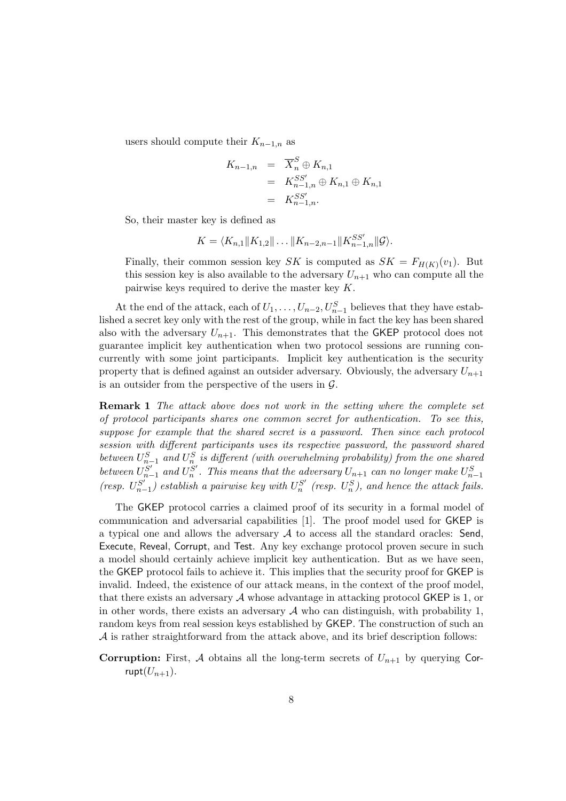users should compute their  $K_{n-1,n}$  as

$$
K_{n-1,n} = \overline{X}_n^S \oplus K_{n,1}
$$
  
=  $K_{n-1,n}^{SS'} \oplus K_{n,1} \oplus K_{n,1}$   
=  $K_{n-1,n}^{SS'}$ .

So, their master key is defined as

$$
K = \langle K_{n,1} || K_{1,2} || \dots || K_{n-2,n-1} || K_{n-1,n}^{SS'} || \mathcal{G} \rangle.
$$

Finally, their common session key SK is computed as  $SK = F_{H(K)}(v_1)$ . But this session key is also available to the adversary  $U_{n+1}$  who can compute all the pairwise keys required to derive the master key K.

At the end of the attack, each of  $U_1, \ldots, U_{n-2}, U_{n-1}^S$  believes that they have established a secret key only with the rest of the group, while in fact the key has been shared also with the adversary  $U_{n+1}$ . This demonstrates that the GKEP protocol does not guarantee implicit key authentication when two protocol sessions are running concurrently with some joint participants. Implicit key authentication is the security property that is defined against an outsider adversary. Obviously, the adversary  $U_{n+1}$ is an outsider from the perspective of the users in  $\mathcal{G}$ .

Remark 1 The attack above does not work in the setting where the complete set of protocol participants shares one common secret for authentication. To see this, suppose for example that the shared secret is a password. Then since each protocol session with different participants uses its respective password, the password shared between  $U_{n-1}^S$  and  $U_n^S$  is different (with overwhelming probability) from the one shared between  $U_{n-1}^{S'}$  $S'_{n-1}$  and  $U_n^{S'}$ . This means that the adversary  $U_{n+1}$  can no longer make  $U_{n-1}^{S}$ (resp.  $U_{n-}^{S'}$  $\binom{S'}{n-1}$  establish a pairwise key with  $U_n^{S'}$  (resp.  $U_n^{S}$ ), and hence the attack fails.

The GKEP protocol carries a claimed proof of its security in a formal model of communication and adversarial capabilities [1]. The proof model used for GKEP is a typical one and allows the adversary  $A$  to access all the standard oracles: Send, Execute, Reveal, Corrupt, and Test. Any key exchange protocol proven secure in such a model should certainly achieve implicit key authentication. But as we have seen, the GKEP protocol fails to achieve it. This implies that the security proof for GKEP is invalid. Indeed, the existence of our attack means, in the context of the proof model, that there exists an adversary  $A$  whose advantage in attacking protocol GKEP is 1, or in other words, there exists an adversary  $\mathcal A$  who can distinguish, with probability 1, random keys from real session keys established by GKEP. The construction of such an A is rather straightforward from the attack above, and its brief description follows:

**Corruption:** First, A obtains all the long-term secrets of  $U_{n+1}$  by querying Corrupt $(U_{n+1})$ .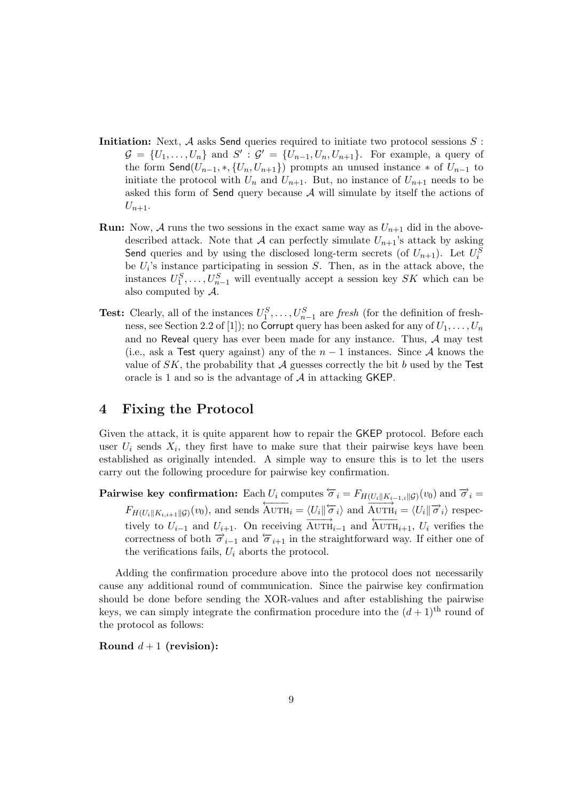- Initiation: Next,  $A$  asks Send queries required to initiate two protocol sessions  $S$ :  $\mathcal{G} = \{U_1, \ldots, U_n\}$  and  $S' : \mathcal{G}' = \{U_{n-1}, U_n, U_{n+1}\}.$  For example, a query of the form  $\mathsf{Send}(U_{n-1}, *, \{U_n, U_{n+1}\})$  prompts an unused instance  $*$  of  $U_{n-1}$  to initiate the protocol with  $U_n$  and  $U_{n+1}$ . But, no instance of  $U_{n+1}$  needs to be asked this form of Send query because  $A$  will simulate by itself the actions of  $U_{n+1}$ .
- **Run:** Now, A runs the two sessions in the exact same way as  $U_{n+1}$  did in the abovedescribed attack. Note that A can perfectly simulate  $U_{n+1}$ 's attack by asking Send queries and by using the disclosed long-term secrets (of  $U_{n+1}$ ). Let  $U_i^S$ be  $U_i$ 's instance participating in session  $S$ . Then, as in the attack above, the instances  $U_1^S, \ldots, U_{n-1}^S$  will eventually accept a session key SK which can be also computed by A.
- **Test:** Clearly, all of the instances  $U_1^S, \ldots, U_{n-1}^S$  are fresh (for the definition of freshness, see Section 2.2 of [1]); no Corrupt query has been asked for any of  $U_1, \ldots, U_n$ and no Reveal query has ever been made for any instance. Thus,  $A$  may test (i.e., ask a Test query against) any of the  $n-1$  instances. Since A knows the value of  $SK$ , the probability that A guesses correctly the bit b used by the Test oracle is 1 and so is the advantage of A in attacking GKEP.

#### 4 Fixing the Protocol

Given the attack, it is quite apparent how to repair the GKEP protocol. Before each user  $U_i$  sends  $X_i$ , they first have to make sure that their pairwise keys have been established as originally intended. A simple way to ensure this is to let the users carry out the following procedure for pairwise key confirmation.

Pairwise key confirmation: Each  $U_i$  computes  $\overleftarrow{\sigma}_i = F_{H(U_i||K_{i-1,i}||\mathcal{G})}(v_0)$  and  $\overrightarrow{\sigma}_i =$  $F_{H(U_i||K_{i,i+1}||\mathcal{G})}(v_0)$ , and sends  $\overleftarrow{\text{AUTH}_i} = \langle U_i \parallel \overleftarrow{\sigma}_i \rangle$  and  $\overrightarrow{\text{AUTH}_i} = \langle U_i \parallel \overrightarrow{\sigma}_i \rangle$  respectively to  $U_{i-1}$  and  $U_{i+1}$ . On receiving  $\overrightarrow{\text{AvrH}_{i-1}}$  and  $\overrightarrow{\text{AvrH}_{i+1}}$ ,  $U_i$  verifies the correctness of both  $\vec{\sigma}_{i-1}$  and  $\vec{\sigma}_{i+1}$  in the straightforward way. If either one of the verifications fails,  $U_i$  aborts the protocol.

Adding the confirmation procedure above into the protocol does not necessarily cause any additional round of communication. Since the pairwise key confirmation should be done before sending the XOR-values and after establishing the pairwise keys, we can simply integrate the confirmation procedure into the  $(d+1)$ <sup>th</sup> round of the protocol as follows:

Round  $d+1$  (revision):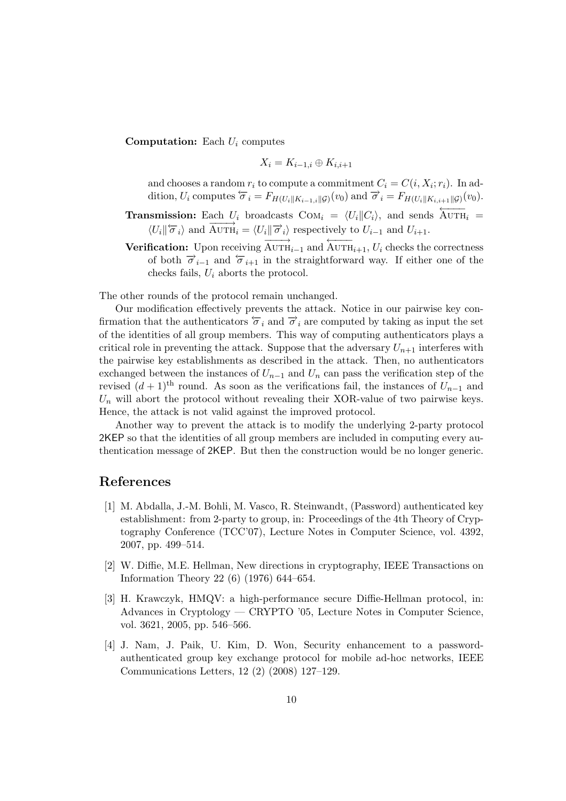**Computation:** Each  $U_i$  computes

$$
X_i = K_{i-1,i} \oplus K_{i,i+1}
$$

and chooses a random  $r_i$  to compute a commitment  $C_i = C(i, X_i; r_i)$ . In addition,  $U_i$  computes  $\overleftarrow{\sigma}_i = F_{H(U_i||K_{i-1,i}||\mathcal{G})}(v_0)$  and  $\overrightarrow{\sigma}_i = F_{H(U_i||K_{i,i+1}||\mathcal{G})}(v_0)$ .

- **Transmission:** Each  $U_i$  broadcasts  $COM_i = \langle U_i || C_i \rangle$ , and sends  $\overleftarrow{AUTH_i}$  =  $\langle U_i | \overleftarrow{\sigma}_i \rangle$  and  $\overrightarrow{\text{AUTH}}_i = \langle U_i | \overrightarrow{\sigma}_i \rangle$  respectively to  $U_{i-1}$  and  $U_{i+1}$ .
- **Verification:** Upon receiving  $\overrightarrow{\text{AUTH}_{i-1}}$  and  $\overleftarrow{\text{AUTH}_{i+1}}$ ,  $U_i$  checks the correctness of both  $\vec{\sigma}_{i-1}$  and  $\vec{\sigma}_{i+1}$  in the straightforward way. If either one of the checks fails,  $U_i$  aborts the protocol.

The other rounds of the protocol remain unchanged.

Our modification effectively prevents the attack. Notice in our pairwise key confirmation that the authenticators  $\overline{\sigma}_i$  and  $\overline{\sigma}_i$  are computed by taking as input the set of the identities of all group members. This way of computing authenticators plays a critical role in preventing the attack. Suppose that the adversary  $U_{n+1}$  interferes with the pairwise key establishments as described in the attack. Then, no authenticators exchanged between the instances of  $U_{n-1}$  and  $U_n$  can pass the verification step of the revised  $(d + 1)$ <sup>th</sup> round. As soon as the verifications fail, the instances of  $U_{n-1}$  and  $U_n$  will abort the protocol without revealing their XOR-value of two pairwise keys. Hence, the attack is not valid against the improved protocol.

Another way to prevent the attack is to modify the underlying 2-party protocol 2KEP so that the identities of all group members are included in computing every authentication message of 2KEP. But then the construction would be no longer generic.

#### References

- [1] M. Abdalla, J.-M. Bohli, M. Vasco, R. Steinwandt, (Password) authenticated key establishment: from 2-party to group, in: Proceedings of the 4th Theory of Cryptography Conference (TCC'07), Lecture Notes in Computer Science, vol. 4392, 2007, pp. 499–514.
- [2] W. Diffie, M.E. Hellman, New directions in cryptography, IEEE Transactions on Information Theory 22 (6) (1976) 644–654.
- [3] H. Krawczyk, HMQV: a high-performance secure Diffie-Hellman protocol, in: Advances in Cryptology — CRYPTO '05, Lecture Notes in Computer Science, vol. 3621, 2005, pp. 546–566.
- [4] J. Nam, J. Paik, U. Kim, D. Won, Security enhancement to a passwordauthenticated group key exchange protocol for mobile ad-hoc networks, IEEE Communications Letters, 12 (2) (2008) 127–129.